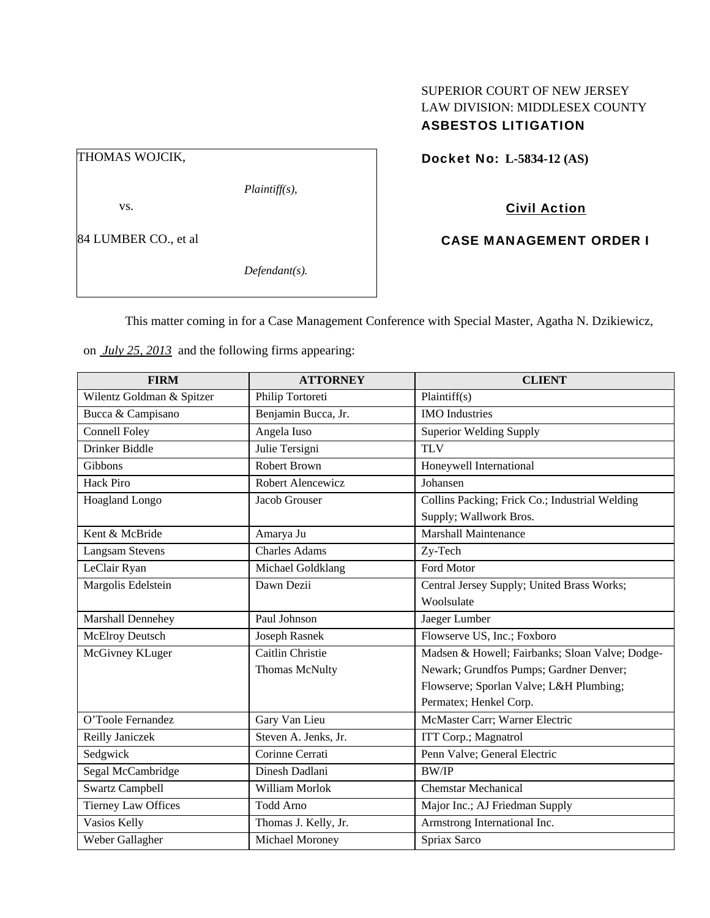# SUPERIOR COURT OF NEW JERSEY LAW DIVISION: MIDDLESEX COUNTY ASBESTOS LITIGATION

Docket No: **L-5834-12 (AS)** 

Civil Action

CASE MANAGEMENT ORDER I

This matter coming in for a Case Management Conference with Special Master, Agatha N. Dzikiewicz,

on *July 25, 2013* and the following firms appearing:

| <b>FIRM</b>                | <b>ATTORNEY</b>       | <b>CLIENT</b>                                                            |
|----------------------------|-----------------------|--------------------------------------------------------------------------|
| Wilentz Goldman & Spitzer  | Philip Tortoreti      | Plaintiff(s)                                                             |
| Bucca & Campisano          | Benjamin Bucca, Jr.   | <b>IMO</b> Industries                                                    |
| <b>Connell Foley</b>       | Angela Iuso           | <b>Superior Welding Supply</b>                                           |
| Drinker Biddle             | Julie Tersigni        | <b>TLV</b>                                                               |
| Gibbons                    | <b>Robert Brown</b>   | Honeywell International                                                  |
| <b>Hack Piro</b>           | Robert Alencewicz     | Johansen                                                                 |
| Hoagland Longo             | Jacob Grouser         | Collins Packing; Frick Co.; Industrial Welding<br>Supply; Wallwork Bros. |
| Kent & McBride             | Amarya Ju             | Marshall Maintenance                                                     |
| <b>Langsam Stevens</b>     | <b>Charles Adams</b>  | Zy-Tech                                                                  |
| LeClair Ryan               | Michael Goldklang     | Ford Motor                                                               |
| Margolis Edelstein         | Dawn Dezii            | Central Jersey Supply; United Brass Works;                               |
|                            |                       | Woolsulate                                                               |
| Marshall Dennehey          | Paul Johnson          | Jaeger Lumber                                                            |
| McElroy Deutsch            | <b>Joseph Rasnek</b>  | Flowserve US, Inc.; Foxboro                                              |
| McGivney KLuger            | Caitlin Christie      | Madsen & Howell; Fairbanks; Sloan Valve; Dodge-                          |
|                            | <b>Thomas McNulty</b> | Newark; Grundfos Pumps; Gardner Denver;                                  |
|                            |                       | Flowserve; Sporlan Valve; L&H Plumbing;                                  |
|                            |                       | Permatex; Henkel Corp.                                                   |
| O'Toole Fernandez          | Gary Van Lieu         | McMaster Carr; Warner Electric                                           |
| Reilly Janiczek            | Steven A. Jenks, Jr.  | ITT Corp.; Magnatrol                                                     |
| Sedgwick                   | Corinne Cerrati       | Penn Valve; General Electric                                             |
| Segal McCambridge          | Dinesh Dadlani        | <b>BW/IP</b>                                                             |
| <b>Swartz Campbell</b>     | William Morlok        | <b>Chemstar Mechanical</b>                                               |
| <b>Tierney Law Offices</b> | <b>Todd Arno</b>      | Major Inc.; AJ Friedman Supply                                           |
| Vasios Kelly               | Thomas J. Kelly, Jr.  | Armstrong International Inc.                                             |
| Weber Gallagher            | Michael Moroney       | Spriax Sarco                                                             |

THOMAS WOJCIK,

vs.

*Plaintiff(s),* 

84 LUMBER CO., et al

*Defendant(s).*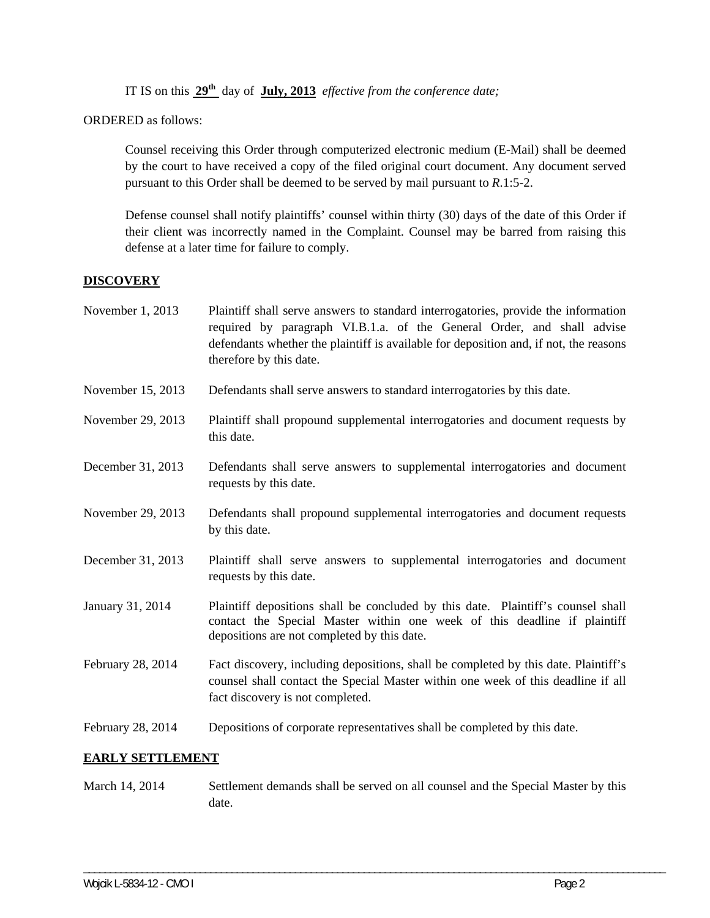IT IS on this **29th** day of **July, 2013** *effective from the conference date;*

ORDERED as follows:

Counsel receiving this Order through computerized electronic medium (E-Mail) shall be deemed by the court to have received a copy of the filed original court document. Any document served pursuant to this Order shall be deemed to be served by mail pursuant to *R*.1:5-2.

Defense counsel shall notify plaintiffs' counsel within thirty (30) days of the date of this Order if their client was incorrectly named in the Complaint. Counsel may be barred from raising this defense at a later time for failure to comply.

### **DISCOVERY**

| November 1, 2013  | Plaintiff shall serve answers to standard interrogatories, provide the information<br>required by paragraph VI.B.1.a. of the General Order, and shall advise<br>defendants whether the plaintiff is available for deposition and, if not, the reasons<br>therefore by this date. |
|-------------------|----------------------------------------------------------------------------------------------------------------------------------------------------------------------------------------------------------------------------------------------------------------------------------|
| November 15, 2013 | Defendants shall serve answers to standard interrogatories by this date.                                                                                                                                                                                                         |
| November 29, 2013 | Plaintiff shall propound supplemental interrogatories and document requests by<br>this date.                                                                                                                                                                                     |
| December 31, 2013 | Defendants shall serve answers to supplemental interrogatories and document<br>requests by this date.                                                                                                                                                                            |
| November 29, 2013 | Defendants shall propound supplemental interrogatories and document requests<br>by this date.                                                                                                                                                                                    |
| December 31, 2013 | Plaintiff shall serve answers to supplemental interrogatories and document<br>requests by this date.                                                                                                                                                                             |
| January 31, 2014  | Plaintiff depositions shall be concluded by this date. Plaintiff's counsel shall<br>contact the Special Master within one week of this deadline if plaintiff<br>depositions are not completed by this date.                                                                      |
| February 28, 2014 | Fact discovery, including depositions, shall be completed by this date. Plaintiff's<br>counsel shall contact the Special Master within one week of this deadline if all<br>fact discovery is not completed.                                                                      |
| February 28, 2014 | Depositions of corporate representatives shall be completed by this date.                                                                                                                                                                                                        |

### **EARLY SETTLEMENT**

March 14, 2014 Settlement demands shall be served on all counsel and the Special Master by this date.

\_\_\_\_\_\_\_\_\_\_\_\_\_\_\_\_\_\_\_\_\_\_\_\_\_\_\_\_\_\_\_\_\_\_\_\_\_\_\_\_\_\_\_\_\_\_\_\_\_\_\_\_\_\_\_\_\_\_\_\_\_\_\_\_\_\_\_\_\_\_\_\_\_\_\_\_\_\_\_\_\_\_\_\_\_\_\_\_\_\_\_\_\_\_\_\_\_\_\_\_\_\_\_\_\_\_\_\_\_\_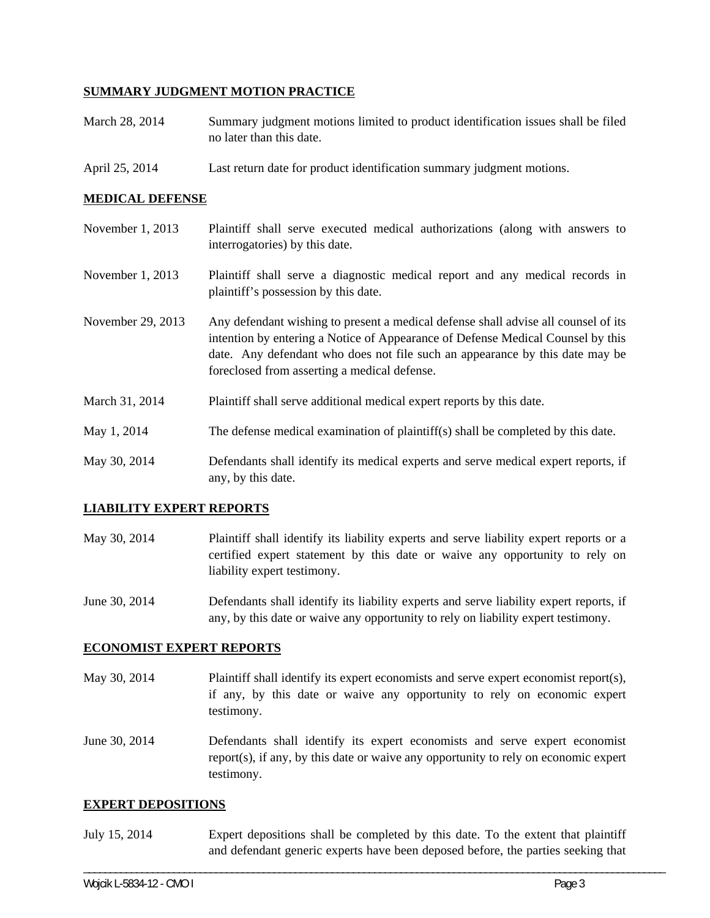## **SUMMARY JUDGMENT MOTION PRACTICE**

- March 28, 2014 Summary judgment motions limited to product identification issues shall be filed no later than this date.
- April 25, 2014 Last return date for product identification summary judgment motions.

### **MEDICAL DEFENSE**

| November 1, 2013  | Plaintiff shall serve executed medical authorizations (along with answers to<br>interrogatories) by this date.                                                                                                                                                                                        |
|-------------------|-------------------------------------------------------------------------------------------------------------------------------------------------------------------------------------------------------------------------------------------------------------------------------------------------------|
| November 1, 2013  | Plaintiff shall serve a diagnostic medical report and any medical records in<br>plaintiff's possession by this date.                                                                                                                                                                                  |
| November 29, 2013 | Any defendant wishing to present a medical defense shall advise all counsel of its<br>intention by entering a Notice of Appearance of Defense Medical Counsel by this<br>date. Any defendant who does not file such an appearance by this date may be<br>foreclosed from asserting a medical defense. |
| March 31, 2014    | Plaintiff shall serve additional medical expert reports by this date.                                                                                                                                                                                                                                 |
| May 1, 2014       | The defense medical examination of plaintiff(s) shall be completed by this date.                                                                                                                                                                                                                      |
| May 30, 2014      | Defendants shall identify its medical experts and serve medical expert reports, if<br>any, by this date.                                                                                                                                                                                              |

### **LIABILITY EXPERT REPORTS**

- May 30, 2014 Plaintiff shall identify its liability experts and serve liability expert reports or a certified expert statement by this date or waive any opportunity to rely on liability expert testimony.
- June 30, 2014 Defendants shall identify its liability experts and serve liability expert reports, if any, by this date or waive any opportunity to rely on liability expert testimony.

### **ECONOMIST EXPERT REPORTS**

- May 30, 2014 Plaintiff shall identify its expert economists and serve expert economist report(s), if any, by this date or waive any opportunity to rely on economic expert testimony.
- June 30, 2014 Defendants shall identify its expert economists and serve expert economist report(s), if any, by this date or waive any opportunity to rely on economic expert testimony.

#### **EXPERT DEPOSITIONS**

July 15, 2014 Expert depositions shall be completed by this date. To the extent that plaintiff and defendant generic experts have been deposed before, the parties seeking that

\_\_\_\_\_\_\_\_\_\_\_\_\_\_\_\_\_\_\_\_\_\_\_\_\_\_\_\_\_\_\_\_\_\_\_\_\_\_\_\_\_\_\_\_\_\_\_\_\_\_\_\_\_\_\_\_\_\_\_\_\_\_\_\_\_\_\_\_\_\_\_\_\_\_\_\_\_\_\_\_\_\_\_\_\_\_\_\_\_\_\_\_\_\_\_\_\_\_\_\_\_\_\_\_\_\_\_\_\_\_